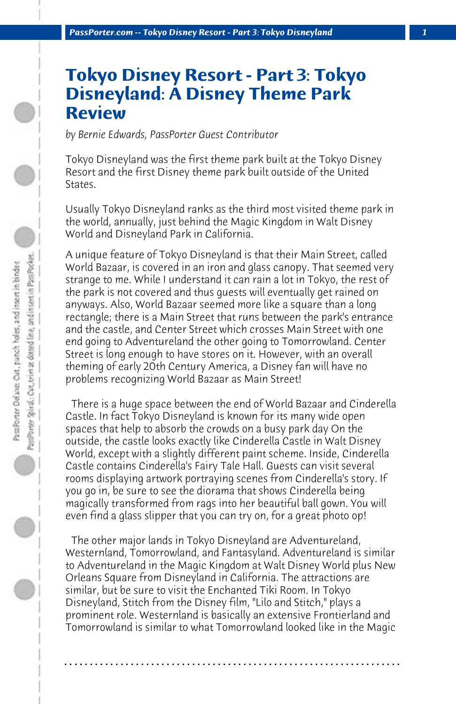## **Tokyo Disney Resort - Part 3: Tokyo Disneyland: A Disney Theme Park Review**

*by Bernie Edwards, PassPorter Guest Contributor*

Tokyo Disneyland was the first theme park built at the Tokyo Disney Resort and the first Disney theme park built outside of the United States.

Usually Tokyo Disneyland ranks as the third most visited theme park in the world, annually, just behind the Magic Kingdom in Walt Disney World and Disneyland Park in California.

A unique feature of Tokyo Disneyland is that their Main Street, called World Bazaar, is covered in an iron and glass canopy. That seemed very strange to me. While I understand it can rain a lot in Tokyo, the rest of the park is not covered and thus guests will eventually get rained on anyways. Also, World Bazaar seemed more like a square than a long rectangle; there is a Main Street that runs between the park's entrance and the castle, and Center Street which crosses Main Street with one end going to Adventureland the other going to Tomorrowland. Center Street is long enough to have stores on it. However, with an overall theming of early 20th Century America, a Disney fan will have no problems recognizing World Bazaar as Main Street!

 There is a huge space between the end of World Bazaar and Cinderella Castle. In fact Tokyo Disneyland is known for its many wide open spaces that help to absorb the crowds on a busy park day On the outside, the castle looks exactly like Cinderella Castle in Walt Disney World, except with a slightly different paint scheme. Inside, Cinderella Castle contains Cinderella's Fairy Tale Hall. Guests can visit several rooms displaying artwork portraying scenes from Cinderella's story. If you go in, be sure to see the diorama that shows Cinderella being magically transformed from rags into her beautiful ball gown. You will even find a glass slipper that you can try on, for a great photo op!

 The other major lands in Tokyo Disneyland are Adventureland, Westernland, Tomorrowland, and Fantasyland. Adventureland is similar to Adventureland in the Magic Kingdom at Walt Disney World plus New Orleans Square from Disneyland in California. The attractions are similar, but be sure to visit the Enchanted Tiki Room. In Tokyo Disneyland, Stitch from the Disney film, "Lilo and Stitch," plays a prominent role. Westernland is basically an extensive Frontierland and Tomorrowland is similar to what Tomorrowland looked like in the Magic

**. . . . . . . . . . . . . . . . . . . . . . . . . . . . . . . . . . . . . . . . . . . . . . . . . . . . . . . . . . . . . . . . . .**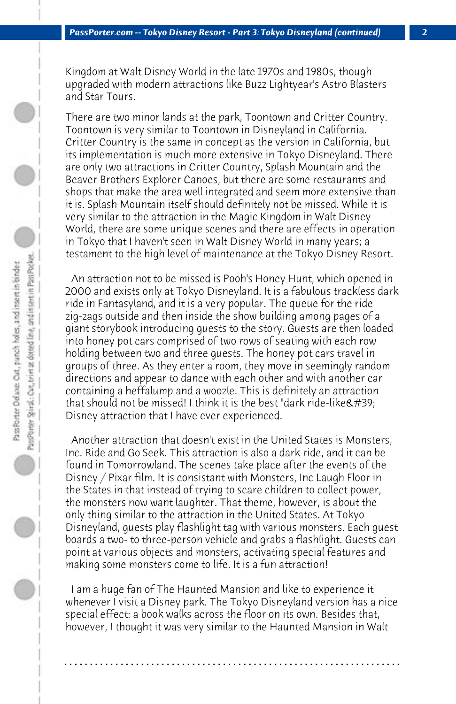Kingdom at Walt Disney World in the late 1970s and 1980s, though upgraded with modern attractions like Buzz Lightyear's Astro Blasters and Star Tours.

There are two minor lands at the park, Toontown and Critter Country. Toontown is very similar to Toontown in Disneyland in California. Critter Country is the same in concept as the version in California, but its implementation is much more extensive in Tokyo Disneyland. There are only two attractions in Critter Country, Splash Mountain and the Beaver Brothers Explorer Canoes, but there are some restaurants and shops that make the area well integrated and seem more extensive than it is. Splash Mountain itself should definitely not be missed. While it is very similar to the attraction in the Magic Kingdom in Walt Disney World, there are some unique scenes and there are effects in operation in Tokyo that I haven't seen in Walt Disney World in many years; a testament to the high level of maintenance at the Tokyo Disney Resort.

 An attraction not to be missed is Pooh's Honey Hunt, which opened in 2000 and exists only at Tokyo Disneyland. It is a fabulous trackless dark ride in Fantasyland, and it is a very popular. The queue for the ride zig-zags outside and then inside the show building among pages of a giant storybook introducing guests to the story. Guests are then loaded into honey pot cars comprised of two rows of seating with each row holding between two and three guests. The honey pot cars travel in groups of three. As they enter a room, they move in seemingly random directions and appear to dance with each other and with another car containing a heffalump and a woozle. This is definitely an attraction that should not be missed! I think it is the best "dark ride-like  $\&\#39$ ; Disney attraction that I have ever experienced.

 Another attraction that doesn't exist in the United States is Monsters, Inc. Ride and Go Seek. This attraction is also a dark ride, and it can be found in Tomorrowland. The scenes take place after the events of the Disney / Pixar film. It is consistant with Monsters, Inc Laugh Floor in the States in that instead of trying to scare children to collect power, the monsters now want laughter. That theme, however, is about the only thing similar to the attraction in the United States. At Tokyo Disneyland, guests play flashlight tag with various monsters. Each guest boards a two- to three-person vehicle and grabs a flashlight. Guests can point at various objects and monsters, activating special features and making some monsters come to life. It is a fun attraction!

 I am a huge fan of The Haunted Mansion and like to experience it whenever I visit a Disney park. The Tokyo Disneyland version has a nice special effect: a book walks across the floor on its own. Besides that, however, I thought it was very similar to the Haunted Mansion in Walt

**. . . . . . . . . . . . . . . . . . . . . . . . . . . . . . . . . . . . . . . . . . . . . . . . . . . . . . . . . . . . . . . . . .**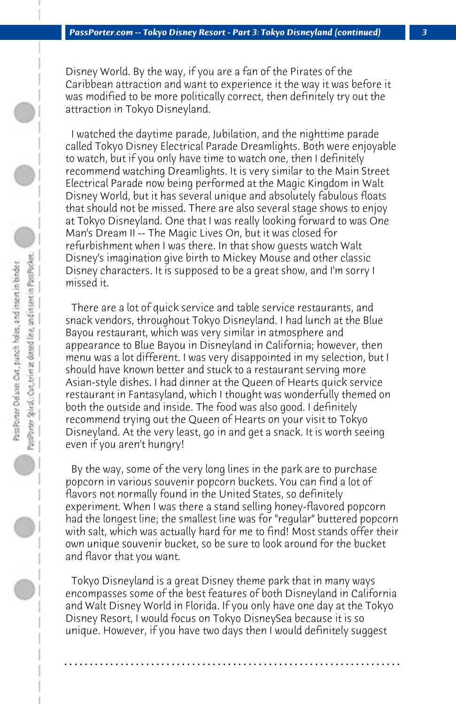Disney World. By the way, if you are a fan of the Pirates of the Caribbean attraction and want to experience it the way it was before it was modified to be more politically correct, then definitely try out the attraction in Tokyo Disneyland.

 I watched the daytime parade, Jubilation, and the nighttime parade called Tokyo Disney Electrical Parade Dreamlights. Both were enjoyable to watch, but if you only have time to watch one, then I definitely recommend watching Dreamlights. It is very similar to the Main Street Electrical Parade now being performed at the Magic Kingdom in Walt Disney World, but it has several unique and absolutely fabulous floats that should not be missed. There are also several stage shows to enjoy at Tokyo Disneyland. One that I was really looking forward to was One Man's Dream II -- The Magic Lives On, but it was closed for refurbishment when I was there. In that show guests watch Walt Disney's imagination give birth to Mickey Mouse and other classic Disney characters. It is supposed to be a great show, and I'm sorry I missed it.

 There are a lot of quick service and table service restaurants, and snack vendors, throughout Tokyo Disneyland. I had lunch at the Blue Bayou restaurant, which was very similar in atmosphere and appearance to Blue Bayou in Disneyland in California; however, then menu was a lot different. I was very disappointed in my selection, but I should have known better and stuck to a restaurant serving more Asian-style dishes. I had dinner at the Queen of Hearts quick service restaurant in Fantasyland, which I thought was wonderfully themed on both the outside and inside. The food was also good. I definitely recommend trying out the Queen of Hearts on your visit to Tokyo Disneyland. At the very least, go in and get a snack. It is worth seeing even if you aren't hungry!

 By the way, some of the very long lines in the park are to purchase popcorn in various souvenir popcorn buckets. You can find a lot of flavors not normally found in the United States, so definitely experiment. When I was there a stand selling honey-flavored popcorn had the longest line; the smallest line was for "regular" buttered popcorn with salt, which was actually hard for me to find! Most stands offer their own unique souvenir bucket, so be sure to look around for the bucket and flavor that you want.

 Tokyo Disneyland is a great Disney theme park that in many ways encompasses some of the best features of both Disneyland in California and Walt Disney World in Florida. If you only have one day at the Tokyo Disney Resort, I would focus on Tokyo DisneySea because it is so unique. However, if you have two days then I would definitely suggest

**. . . . . . . . . . . . . . . . . . . . . . . . . . . . . . . . . . . . . . . . . . . . . . . . . . . . . . . . . . . . . . . . . .**